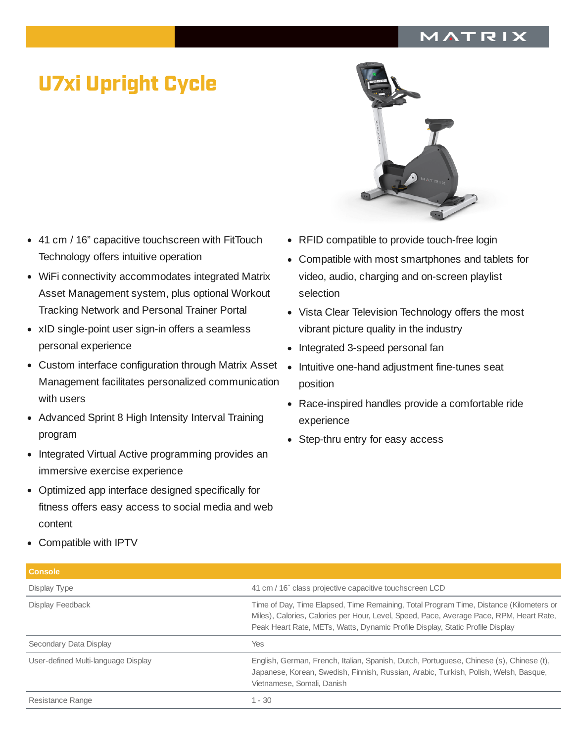## MATRIX

## U7xi Upright Cycle

- 41 cm / 16" capacitive touchscreen with FitTouch  $\bullet$ Technology offers intuitive operation
- WiFi connectivity accommodates integrated Matrix Asset Management system, plus optional Workout Tracking Network and Personal Trainer Portal
- xID single-point user sign-in offers a seamless personal experience
- Custom interface configuration through Matrix Asset Management facilitates personalized communication with users
- Advanced Sprint 8 High Intensity Interval Training program
- Integrated Virtual Active programming provides an immersive exercise experience
- Optimized app interface designed specifically for fitness offers easy access to social media and web content
- 
- RFID compatible to provide touch-free login
- Compatible with most smartphones and tablets for video, audio, charging and on-screen playlist selection
- Vista Clear Television Technology offers the most vibrant picture quality in the industry
- Integrated 3-speed personal fan
- Intuitive one-hand adjustment fine-tunes seat position
- Race-inspired handles provide a comfortable ride experience
- Step-thru entry for easy access

Compatible with IPTV

| 41 cm / 16" class projective capacitive touchscreen LCD                                                                                                                                                                                                            |
|--------------------------------------------------------------------------------------------------------------------------------------------------------------------------------------------------------------------------------------------------------------------|
| Time of Day, Time Elapsed, Time Remaining, Total Program Time, Distance (Kilometers or<br>Miles), Calories, Calories per Hour, Level, Speed, Pace, Average Pace, RPM, Heart Rate,<br>Peak Heart Rate, METs, Watts, Dynamic Profile Display, Static Profile Display |
| <b>Yes</b>                                                                                                                                                                                                                                                         |
| English, German, French, Italian, Spanish, Dutch, Portuguese, Chinese (s), Chinese (t),<br>Japanese, Korean, Swedish, Finnish, Russian, Arabic, Turkish, Polish, Welsh, Basque,<br>Vietnamese, Somali, Danish                                                      |
| $1 - 30$                                                                                                                                                                                                                                                           |
|                                                                                                                                                                                                                                                                    |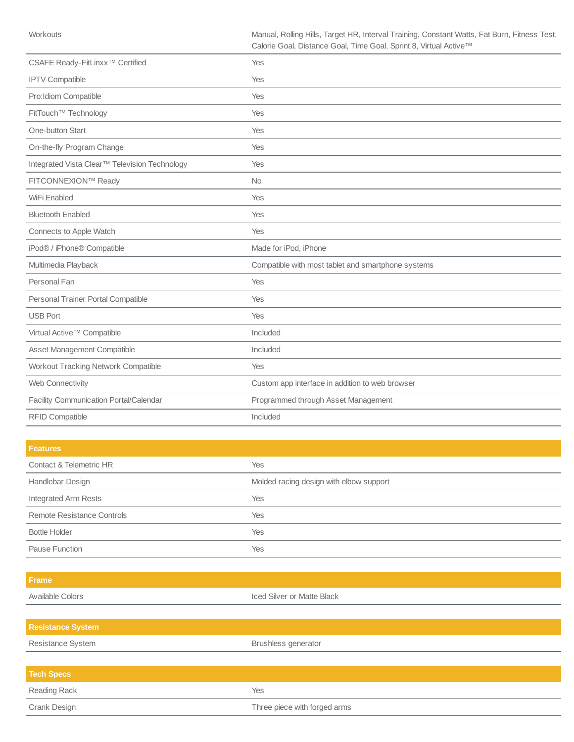| CSAFE Ready-FitLinxx <sup>™</sup> Certified   | Yes                                                |
|-----------------------------------------------|----------------------------------------------------|
| <b>IPTV Compatible</b>                        | Yes                                                |
| Pro:Idiom Compatible                          | Yes                                                |
| FitTouch™ Technology                          | Yes                                                |
| One-button Start                              | Yes                                                |
| On-the-fly Program Change                     | Yes                                                |
| Integrated Vista Clear™ Television Technology | Yes                                                |
| FITCONNEXION™ Ready                           | <b>No</b>                                          |
| WiFi Enabled                                  | Yes                                                |
| <b>Bluetooth Enabled</b>                      | Yes                                                |
| Connects to Apple Watch                       | Yes                                                |
| iPod® / iPhone® Compatible                    | Made for iPod, iPhone                              |
| Multimedia Playback                           | Compatible with most tablet and smartphone systems |
| Personal Fan                                  | Yes                                                |
| Personal Trainer Portal Compatible            | Yes                                                |
| <b>USB Port</b>                               | Yes                                                |
| Virtual Active™ Compatible                    | Included                                           |
| Asset Management Compatible                   | Included                                           |
| Workout Tracking Network Compatible           | Yes                                                |
| Web Connectivity                              | Custom app interface in addition to web browser    |
| Facility Communication Portal/Calendar        | Programmed through Asset Management                |
| RFID Compatible                               | Included                                           |

| <b>Features</b>            |                                         |
|----------------------------|-----------------------------------------|
| Contact & Telemetric HR    | Yes                                     |
| Handlebar Design           | Molded racing design with elbow support |
| Integrated Arm Rests       | Yes                                     |
| Remote Resistance Controls | <b>Yes</b>                              |
| <b>Bottle Holder</b>       | Yes                                     |
| Pause Function             | Yes                                     |

| Frame                    |                              |
|--------------------------|------------------------------|
| Available Colors         | Iced Silver or Matte Black   |
|                          |                              |
| <b>Resistance System</b> |                              |
| Resistance System        | Brushless generator          |
|                          |                              |
| <b>Tech Specs</b>        |                              |
| Reading Rack             | Yes                          |
| Crank Design             | Three piece with forged arms |